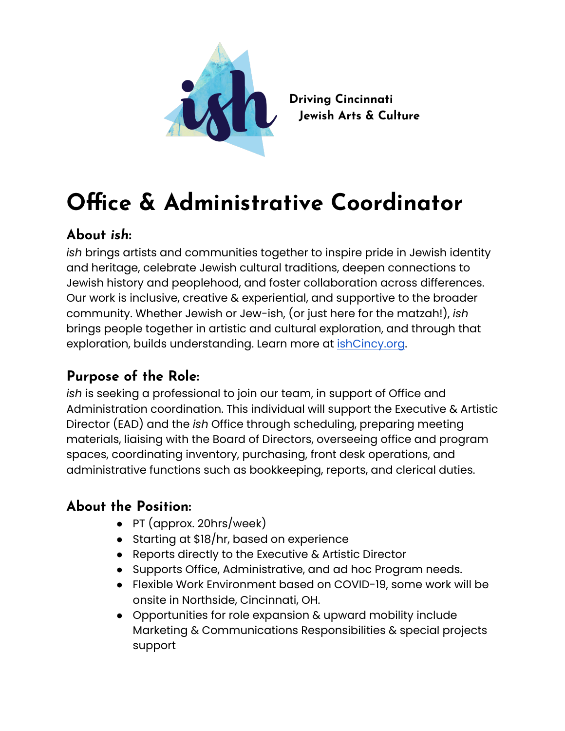

**Driving Cincinnati Jewish Arts & Culture**

# **Office & Administrative Coordinator**

## **About** *ish***:**

*ish* brings artists and communities together to inspire pride in Jewish identity and heritage, celebrate Jewish cultural traditions, deepen connections to Jewish history and peoplehood, and foster collaboration across differences. Our work is inclusive, creative & experiential, and supportive to the broader community. Whether Jewish or Jew-ish, (or just here for the matzah!), *ish* brings people together in artistic and cultural exploration, and through that exploration, builds understanding. Learn more at [ishCincy.org](https://ishcincy.org/).

## **Purpose of the Role:**

*ish* is seeking a professional to join our team, in support of Office and Administration coordination. This individual will support the Executive & Artistic Director (EAD) and the *ish* Office through scheduling, preparing meeting materials, liaising with the Board of Directors, overseeing office and program spaces, coordinating inventory, purchasing, front desk operations, and administrative functions such as bookkeeping, reports, and clerical duties.

## **About the Position:**

- PT (approx. 20hrs/week)
- Starting at \$18/hr, based on experience
- Reports directly to the Executive & Artistic Director
- Supports Office, Administrative, and ad hoc Program needs.
- Flexible Work Environment based on COVID-19, some work will be onsite in Northside, Cincinnati, OH.
- Opportunities for role expansion & upward mobility include Marketing & Communications Responsibilities & special projects support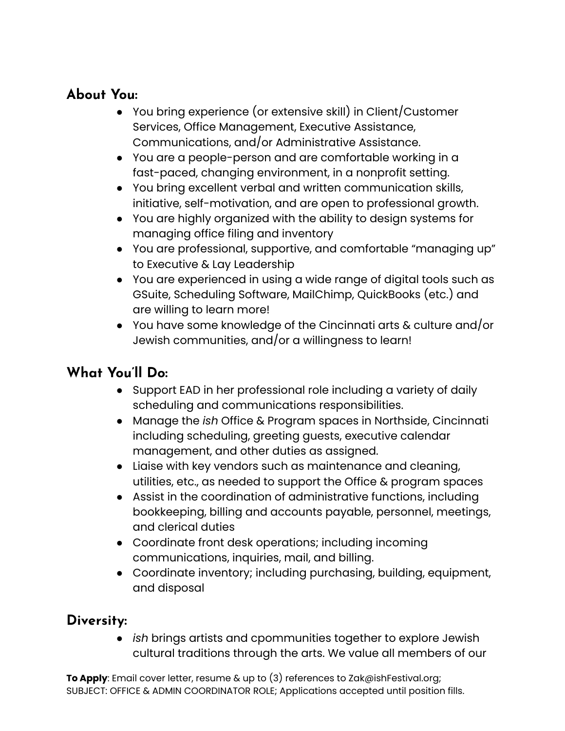#### **About You:**

- You bring experience (or extensive skill) in Client/Customer Services, Office Management, Executive Assistance, Communications, and/or Administrative Assistance.
- You are a people-person and are comfortable working in a fast-paced, changing environment, in a nonprofit setting.
- You bring excellent verbal and written communication skills, initiative, self-motivation, and are open to professional growth.
- You are highly organized with the ability to design systems for managing office filing and inventory
- You are professional, supportive, and comfortable "managing up" to Executive & Lay Leadership
- You are experienced in using a wide range of digital tools such as GSuite, Scheduling Software, MailChimp, QuickBooks (etc.) and are willing to learn more!
- You have some knowledge of the Cincinnati arts & culture and/or Jewish communities, and/or a willingness to learn!

### **What You'll Do:**

- Support EAD in her professional role including a variety of daily scheduling and communications responsibilities.
- Manage the *ish* Office & Program spaces in Northside, Cincinnati including scheduling, greeting guests, executive calendar management, and other duties as assigned.
- Liaise with key vendors such as maintenance and cleaning, utilities, etc., as needed to support the Office & program spaces
- Assist in the coordination of administrative functions, including bookkeeping, billing and accounts payable, personnel, meetings, and clerical duties
- Coordinate front desk operations; including incoming communications, inquiries, mail, and billing.
- Coordinate inventory; including purchasing, building, equipment, and disposal

#### **Diversity:**

*● ish* brings artists and cpommunities together to explore Jewish cultural traditions through the arts. We value all members of our

**To Apply**: Email cover letter, resume & up to (3) references to Za[k@ishFestival.org;](mailto:Marie@ishFestival.org) SUBJECT: OFFICE & ADMIN COORDINATOR ROLE; Applications accepted until position fills.